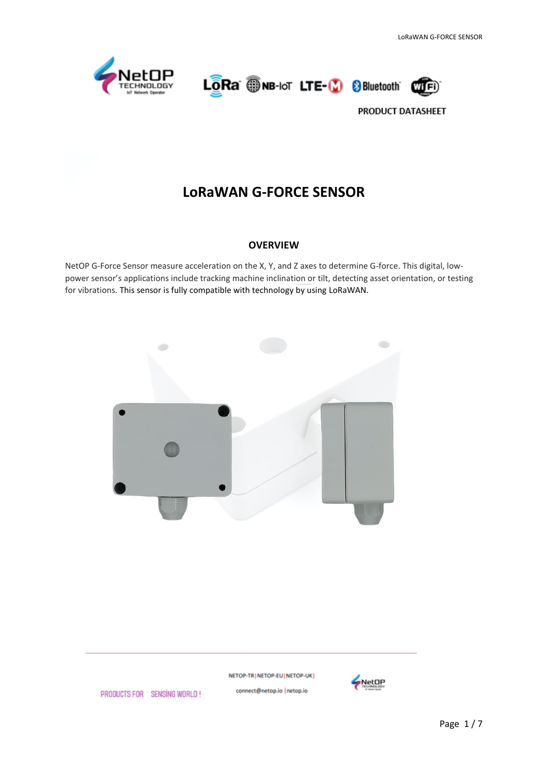

LORa WHE-IOT LTE-10 8 Bluetooth



PRODUCT DATASHEET

# **LoRaWAN G-FORCE SENSOR**

#### **OVERVIEW**

NetOP G-Force Sensor measure acceleration on the X, Y, and Z axes to determine G-force. This digital, lowpower sensor's applications include tracking machine inclination or tilt, detecting asset orientation, or testing for vibrations. This sensor is fully compatible with technology by using LoRaWAN.



NETOP-TR | NETOP-EU | NETOP-UK | connect@netop.io |netop.io

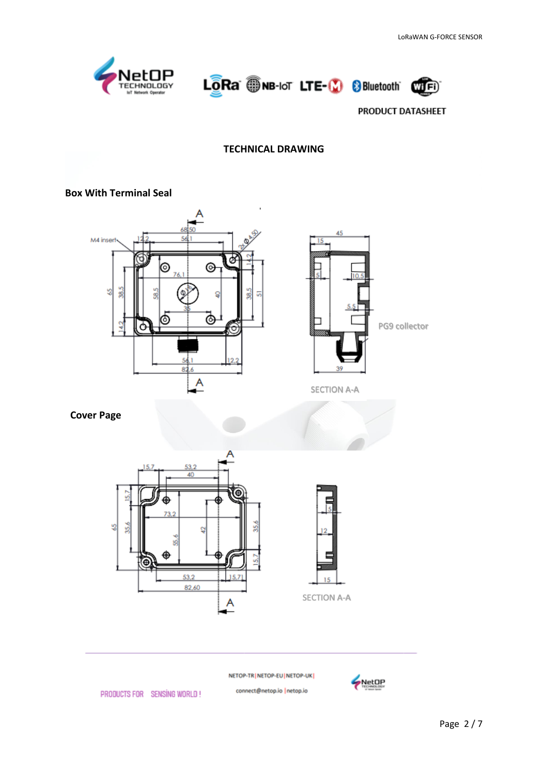





## **TECHNICAL DRAWING**

### **Box With Terminal Seal**





SECTION A-A

 **Cover Page**





NETOP-TR | NETOP-EU | NETOP-UK |

connect@netop.io |netop.io

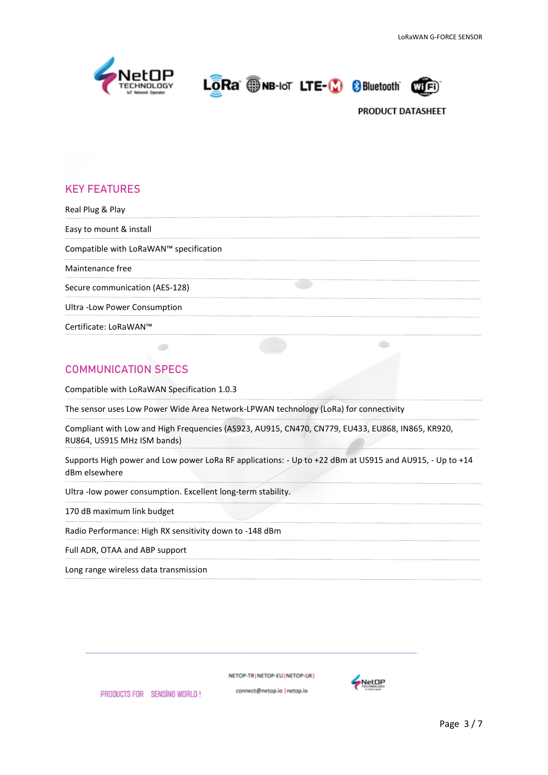

LORa ONB-IoT LTE-10 8 Bluetooth



## **KEY FEATURES**

| Real Plug & Play                       |  |
|----------------------------------------|--|
| Easy to mount & install                |  |
| Compatible with LoRaWAN™ specification |  |
| Maintenance free                       |  |
| Secure communication (AES-128)         |  |
| Ultra - Low Power Consumption          |  |
| Certificate: LoRaWAN™                  |  |

## **COMMUNICATION SPECS**

Compatible with LoRaWAN Specification 1.0.3

 $\bullet$ 

The sensor uses Low Power Wide Area Network-LPWAN technology (LoRa) for connectivity

Compliant with Low and High Frequencies (AS923, AU915, CN470, CN779, EU433, EU868, IN865, KR920, RU864, US915 MHz ISM bands)

Supports High power and Low power LoRa RF applications: - Up to +22 dBm at US915 and AU915, - Up to +14 dBm elsewhere

Ultra -low power consumption. Excellent long-term stability.

170 dB maximum link budget

Radio Performance: High RX sensitivity down to -148 dBm

Full ADR, OTAA and ABP support

Long range wireless data transmission

PRODUCTS FOR SENSING WORLD!

NETOP-TR NETOP-EU NETOP-UK

connect@netop.io |netop.io

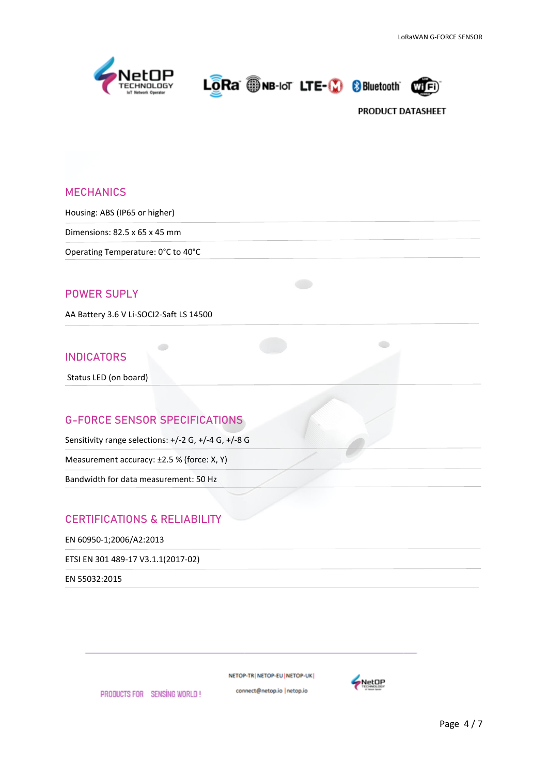



### **MECHANICS**

Housing: ABS (IP65 or higher)

Dimensions: 82.5 x 65 x 45 mm

Operating Temperature: 0°C to 40°C

## **POWER SUPLY**

AA Battery 3.6 V Li-SOCI2-Saft LS 14500

### **INDICATORS**

Status LED (on board)

## **G-FORCE SENSOR SPECIFICATIONS**

 $\bullet$ 

Sensitivity range selections: +/-2 G, +/-4 G, +/-8 G

Measurement accuracy: ±2.5 % (force: X, Y)

Bandwidth for data measurement: 50 Hz

## **CERTIFICATIONS & RELIABILITY**

PRODUCTS FOR SENSING WORLD!

EN 60950-1;2006/A2:2013

ETSI EN 301 489-17 V3.1.1(2017-02)

EN 55032:2015

NETOP-TR | NETOP-EU | NETOP-UK |

connect@netop.io |netop.io

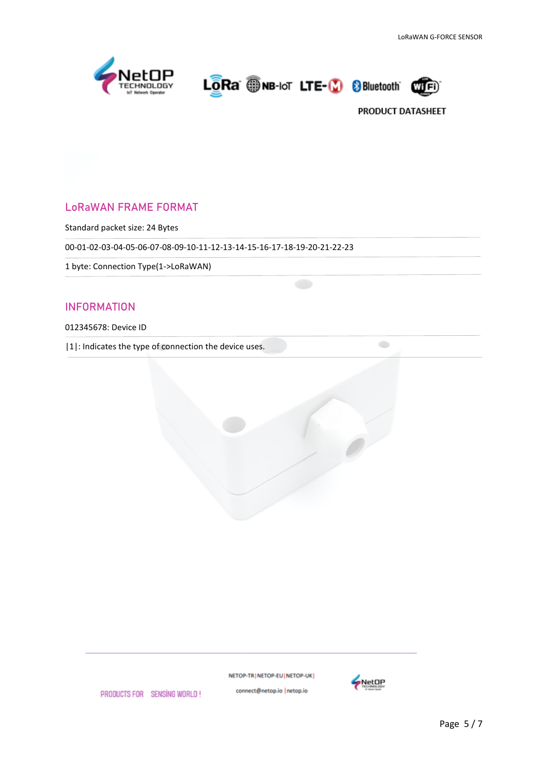



 $\bigcirc$ 

## LoRaWAN FRAME FORMAT

Standard packet size: 24 Bytes

00-01-02-03-04-05-06-07-08-09-10-11-12-13-14-15-16-17-18-19-20-21-22-23

1 byte: Connection Type(1->LoRaWAN)

## INFORMATION

#### 012345678: Device ID

|1|: Indicates the type of connection the device uses.



NETOP-TR | NETOP-EU | NETOP-UK | connect@netop.io |netop.io

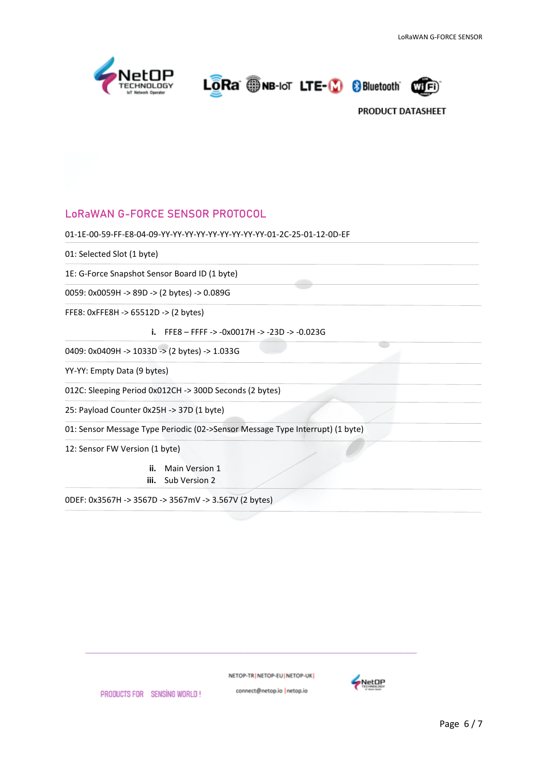

LORA ONB-IoT LTE-19 8 Bluetooth



## **LoRaWAN G-FORCE SENSOR PROTOCOL**

```
01-1E-00-59-FF-E8-04-09-YY-YY-YY-YY-YY-YY-YY-YY-YY-01-2C-25-01-12-0D-EF
```
01: Selected Slot (1 byte)

1E: G-Force Snapshot Sensor Board ID (1 byte)

0059: 0x0059H -> 89D -> (2 bytes) -> 0.089G

FFE8: 0xFFE8H -> 65512D -> (2 bytes)

**i.** FFE8 – FFFF -> -0x0017H -> -23D -> -0.023G

0409: 0x0409H -> 1033D -> (2 bytes) -> 1.033G

YY-YY: Empty Data (9 bytes)

012C: Sleeping Period 0x012CH -> 300D Seconds (2 bytes)

25: Payload Counter 0x25H -> 37D (1 byte)

01: Sensor Message Type Periodic (02->Sensor Message Type Interrupt) (1 byte)

12: Sensor FW Version (1 byte)

**ii.** Main Version 1 **iii.** Sub Version 2

0DEF: 0x3567H -> 3567D -> 3567mV -> 3.567V (2 bytes)

NETOP-TR NETOP-EU NETOP-UK

connect@netop.io |netop.io